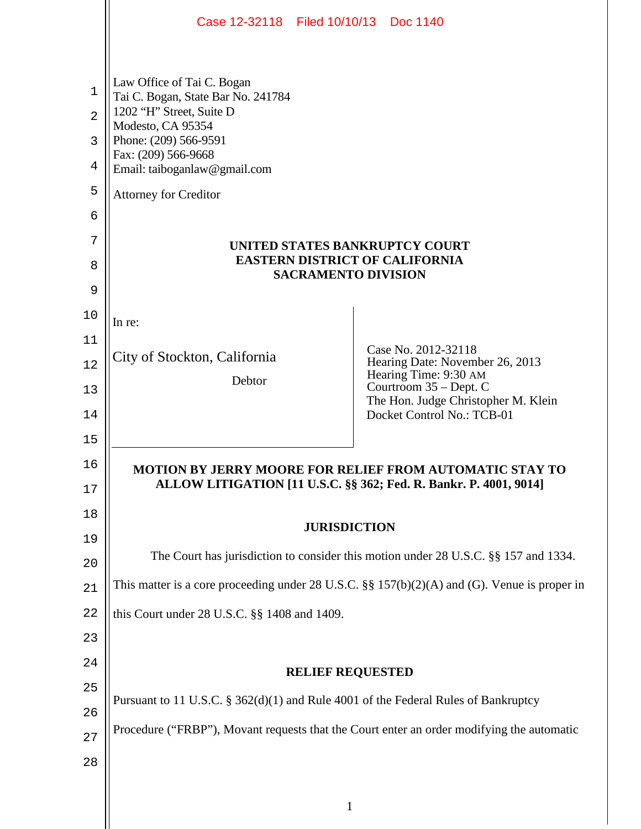|                                  | Case 12-32118 Filed 10/10/13 Doc 1140                                                                                                                                                                      |                                                                                                                                                                                |  |
|----------------------------------|------------------------------------------------------------------------------------------------------------------------------------------------------------------------------------------------------------|--------------------------------------------------------------------------------------------------------------------------------------------------------------------------------|--|
| 1<br>$\overline{2}$<br>3<br>4    | Law Office of Tai C. Bogan<br>Tai C. Bogan, State Bar No. 241784<br>1202 "H" Street, Suite D<br>Modesto, CA 95354<br>Phone: (209) 566-9591<br>Fax: (209) 566-9668<br>Email: taiboganlaw@gmail.com          |                                                                                                                                                                                |  |
| 5                                | <b>Attorney for Creditor</b>                                                                                                                                                                               |                                                                                                                                                                                |  |
| 6<br>7<br>8<br>9                 | UNITED STATES BANKRUPTCY COURT<br><b>EASTERN DISTRICT OF CALIFORNIA</b><br><b>SACRAMENTO DIVISION</b>                                                                                                      |                                                                                                                                                                                |  |
| 10<br>11<br>12<br>13<br>14<br>15 | In re:<br>City of Stockton, California<br>Debtor                                                                                                                                                           | Case No. 2012-32118<br>Hearing Date: November 26, 2013<br>Hearing Time: 9:30 AM<br>Courtroom 35 – Dept. C<br>The Hon. Judge Christopher M. Klein<br>Docket Control No.: TCB-01 |  |
| 16<br>17                         | MOTION BY JERRY MOORE FOR RELIEF FROM AUTOMATIC STAY TO<br>ALLOW LITIGATION [11 U.S.C. §§ 362; Fed. R. Bankr. P. 4001, 9014]                                                                               |                                                                                                                                                                                |  |
| 18<br>19                         | <b>JURISDICTION</b>                                                                                                                                                                                        |                                                                                                                                                                                |  |
| 20                               | The Court has jurisdiction to consider this motion under 28 U.S.C. §§ 157 and 1334.                                                                                                                        |                                                                                                                                                                                |  |
| 21                               | This matter is a core proceeding under 28 U.S.C. $\S$ 157(b)(2)(A) and (G). Venue is proper in                                                                                                             |                                                                                                                                                                                |  |
| 22                               | this Court under 28 U.S.C. §§ 1408 and 1409.                                                                                                                                                               |                                                                                                                                                                                |  |
| 23                               |                                                                                                                                                                                                            |                                                                                                                                                                                |  |
| 24<br>25<br>26<br>27<br>28       | <b>RELIEF REQUESTED</b><br>Pursuant to 11 U.S.C. § 362(d)(1) and Rule 4001 of the Federal Rules of Bankruptcy<br>Procedure ("FRBP"), Movant requests that the Court enter an order modifying the automatic |                                                                                                                                                                                |  |

1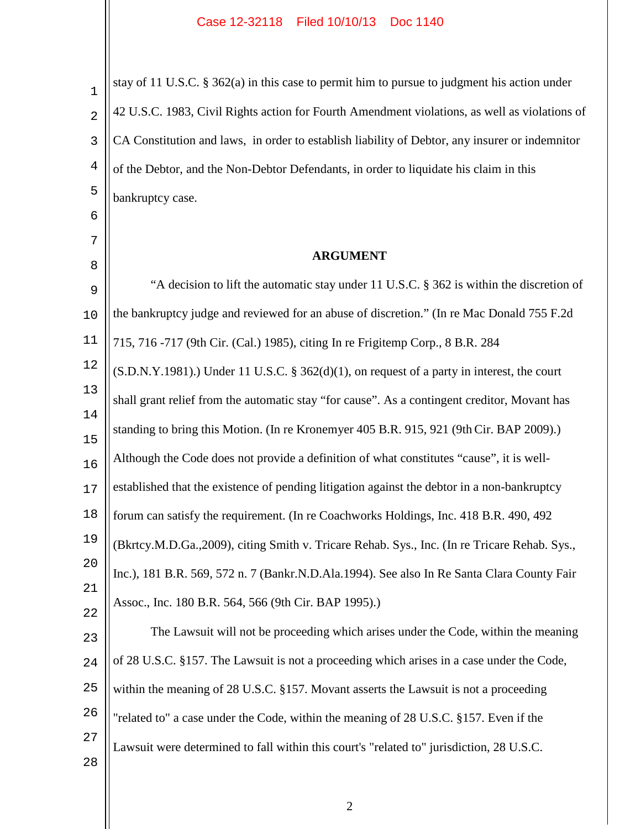| $\mathbf 1$    | stay of 11 U.S.C. § 362(a) in this case to permit him to pursue to judgment his action under   |  |  |
|----------------|------------------------------------------------------------------------------------------------|--|--|
| $\overline{2}$ | 42 U.S.C. 1983, Civil Rights action for Fourth Amendment violations, as well as violations of  |  |  |
| 3              | CA Constitution and laws, in order to establish liability of Debtor, any insurer or indemnitor |  |  |
| $\overline{4}$ | of the Debtor, and the Non-Debtor Defendants, in order to liquidate his claim in this          |  |  |
| 5              | bankruptcy case.                                                                               |  |  |
| 6              |                                                                                                |  |  |
| 7              | <b>ARGUMENT</b>                                                                                |  |  |
| 8              | "A decision to lift the automatic stay under 11 U.S.C. § 362 is within the discretion of       |  |  |
| 9<br>10        | the bankruptcy judge and reviewed for an abuse of discretion." (In re Mac Donald 755 F.2d      |  |  |
| 11             | 715, 716 -717 (9th Cir. (Cal.) 1985), citing In re Frigitemp Corp., 8 B.R. 284                 |  |  |
| 12             | $(S.D.N.Y.1981)$ .) Under 11 U.S.C. § 362(d)(1), on request of a party in interest, the court  |  |  |
| 13             | shall grant relief from the automatic stay "for cause". As a contingent creditor, Movant has   |  |  |
| 14<br>15       | standing to bring this Motion. (In re Kronemyer 405 B.R. 915, 921 (9th Cir. BAP 2009).)        |  |  |
| 16             | Although the Code does not provide a definition of what constitutes "cause", it is well-       |  |  |
| 17             | established that the existence of pending litigation against the debtor in a non-bankruptcy    |  |  |
| 18             | forum can satisfy the requirement. (In re Coachworks Holdings, Inc. 418 B.R. 490, 492)         |  |  |
| 19             | (Bkrtcy.M.D.Ga.,2009), citing Smith v. Tricare Rehab. Sys., Inc. (In re Tricare Rehab. Sys.,   |  |  |
| 20             | Inc.), 181 B.R. 569, 572 n. 7 (Bankr.N.D.Ala.1994). See also In Re Santa Clara County Fair     |  |  |
| 21             | Assoc., Inc. 180 B.R. 564, 566 (9th Cir. BAP 1995).)                                           |  |  |
| 22<br>23       | The Lawsuit will not be proceeding which arises under the Code, within the meaning             |  |  |
| 24             | of 28 U.S.C. §157. The Lawsuit is not a proceeding which arises in a case under the Code,      |  |  |
| 25             | within the meaning of 28 U.S.C. §157. Movant asserts the Lawsuit is not a proceeding           |  |  |
| 26             | "related to" a case under the Code, within the meaning of 28 U.S.C. §157. Even if the          |  |  |
| 27<br>28       | Lawsuit were determined to fall within this court's "related to" jurisdiction, 28 U.S.C.       |  |  |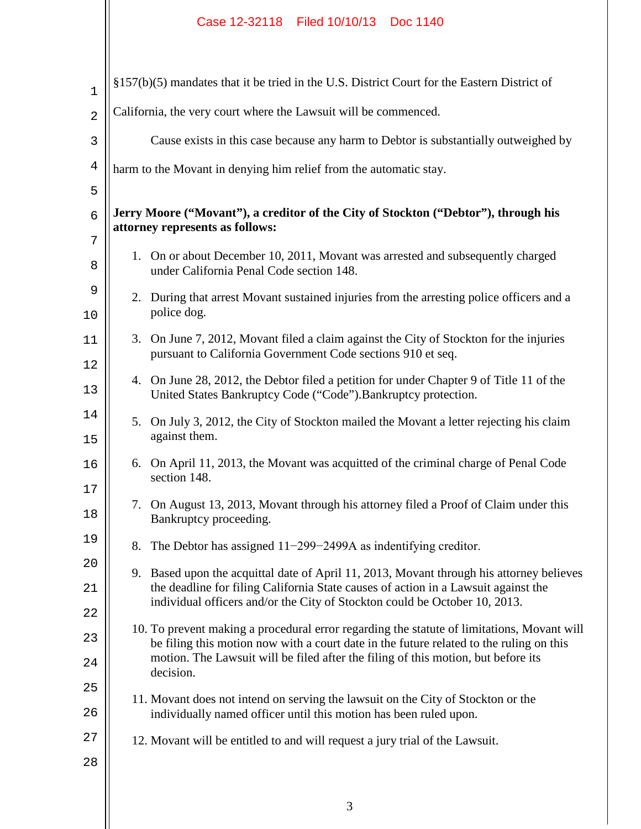## Case 12-32118 Filed 10/10/13 Doc 1140

| 1              | §157(b)(5) mandates that it be tried in the U.S. District Court for the Eastern District of                           |                                                                                                                                                                                |
|----------------|-----------------------------------------------------------------------------------------------------------------------|--------------------------------------------------------------------------------------------------------------------------------------------------------------------------------|
| $\overline{a}$ | California, the very court where the Lawsuit will be commenced.                                                       |                                                                                                                                                                                |
| 3              |                                                                                                                       | Cause exists in this case because any harm to Debtor is substantially outweighed by                                                                                            |
| 4              | harm to the Movant in denying him relief from the automatic stay.                                                     |                                                                                                                                                                                |
| 5              |                                                                                                                       |                                                                                                                                                                                |
| 6              | Jerry Moore ("Movant"), a creditor of the City of Stockton ("Debtor"), through his<br>attorney represents as follows: |                                                                                                                                                                                |
| 7<br>8         |                                                                                                                       | 1. On or about December 10, 2011, Movant was arrested and subsequently charged<br>under California Penal Code section 148.                                                     |
| 9<br>10        | 2.                                                                                                                    | During that arrest Movant sustained injuries from the arresting police officers and a<br>police dog.                                                                           |
| 11<br>12       | 3.                                                                                                                    | On June 7, 2012, Movant filed a claim against the City of Stockton for the injuries<br>pursuant to California Government Code sections 910 et seq.                             |
| 13             |                                                                                                                       | 4. On June 28, 2012, the Debtor filed a petition for under Chapter 9 of Title 11 of the<br>United States Bankruptcy Code ("Code"). Bankruptcy protection.                      |
| 14<br>15       | 5.                                                                                                                    | On July 3, 2012, the City of Stockton mailed the Movant a letter rejecting his claim<br>against them.                                                                          |
| 16<br>17       |                                                                                                                       | 6. On April 11, 2013, the Movant was acquitted of the criminal charge of Penal Code<br>section 148.                                                                            |
| 18             | 7.                                                                                                                    | On August 13, 2013, Movant through his attorney filed a Proof of Claim under this<br>Bankruptcy proceeding.                                                                    |
| 19             |                                                                                                                       | 8. The Debtor has assigned $11-299-2499A$ as indentifying creditor.                                                                                                            |
| 20             |                                                                                                                       | 9. Based upon the acquittal date of April 11, 2013, Movant through his attorney believes<br>the deadline for filing California State causes of action in a Lawsuit against the |
| 21             | individual officers and/or the City of Stockton could be October 10, 2013.                                            |                                                                                                                                                                                |
| 22<br>23       |                                                                                                                       | 10. To prevent making a procedural error regarding the statute of limitations, Movant will                                                                                     |
| 24             |                                                                                                                       | be filing this motion now with a court date in the future related to the ruling on this<br>motion. The Lawsuit will be filed after the filing of this motion, but before its   |
| 25             |                                                                                                                       | decision.                                                                                                                                                                      |
| 26             |                                                                                                                       | 11. Movant does not intend on serving the lawsuit on the City of Stockton or the<br>individually named officer until this motion has been ruled upon.                          |
| 27             |                                                                                                                       | 12. Movant will be entitled to and will request a jury trial of the Lawsuit.                                                                                                   |
| 28             |                                                                                                                       |                                                                                                                                                                                |
|                |                                                                                                                       |                                                                                                                                                                                |